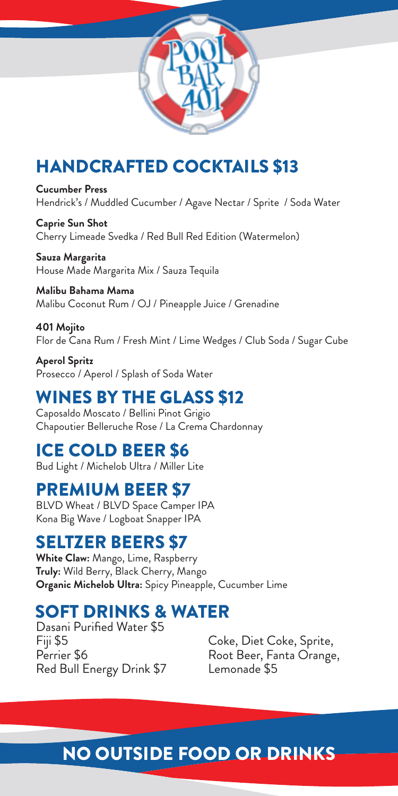## HANDCRAFTED COCKTAILS \$13

**Cucumber Press** Hendrick's / Muddled Cucumber / Agave Nectar / Sprite / Soda Water

**Caprie Sun Shot** Cherry Limeade Svedka / Red Bull Red Edition (Watermelon)

**Sauza Margarita** House Made Margarita Mix / Sauza Tequila

**Malibu Bahama Mama** Malibu Coconut Rum / OJ / Pineapple Juice / Grenadine

**401 Mojito** Flor de Cana Rum / Fresh Mint / Lime Wedges / Club Soda / Sugar Cube

**Aperol Spritz** Prosecco / Aperol / Splash of Soda Water

### WINES BY THE GLASS \$12

Caposaldo Moscato / Bellini Pinot Grigio Chapoutier Belleruche Rose / La Crema Chardonnay

#### ICE COLD BEER \$6

Bud Light / Michelob Ultra / Miller Lite

#### PREMIUM BEER \$7

BLVD Wheat / BLVD Space Camper IPA Kona Big Wave / Logboat Snapper IPA

#### SELTZER BEERS \$7

**White Claw:** Mango, Lime, Raspberry **Truly:** Wild Berry, Black Cherry, Mango **Organic Michelob Ultra:** Spicy Pineapple, Cucumber Lime

## SOFT DRINKS & WATER

Dasani Purified Water \$5 Fiji \$5 Perrier \$6 Red Bull Energy Drink \$7

Coke, Diet Coke, Sprite, Root Beer, Fanta Orange, Lemonade \$5

# NO OUTSIDE FOOD OR DRINKS